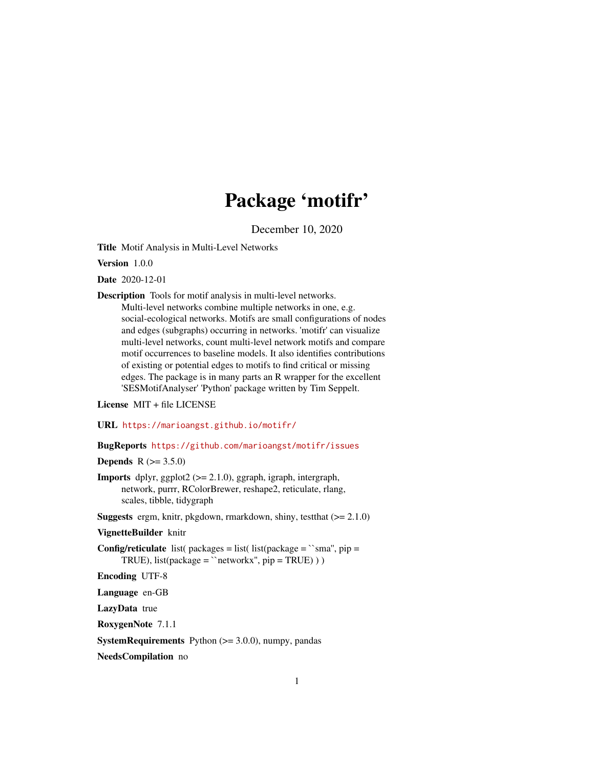# Package 'motifr'

December 10, 2020

<span id="page-0-0"></span>Title Motif Analysis in Multi-Level Networks

Version 1.0.0

Date 2020-12-01

Description Tools for motif analysis in multi-level networks.

Multi-level networks combine multiple networks in one, e.g. social-ecological networks. Motifs are small configurations of nodes and edges (subgraphs) occurring in networks. 'motifr' can visualize multi-level networks, count multi-level network motifs and compare motif occurrences to baseline models. It also identifies contributions of existing or potential edges to motifs to find critical or missing edges. The package is in many parts an R wrapper for the excellent 'SESMotifAnalyser' 'Python' package written by Tim Seppelt.

License MIT + file LICENSE

URL <https://marioangst.github.io/motifr/>

BugReports <https://github.com/marioangst/motifr/issues>

**Depends**  $R (= 3.5.0)$ 

Imports dplyr, ggplot2 (>= 2.1.0), ggraph, igraph, intergraph, network, purrr, RColorBrewer, reshape2, reticulate, rlang, scales, tibble, tidygraph

Suggests ergm, knitr, pkgdown, rmarkdown, shiny, testthat (>= 2.1.0)

#### VignetteBuilder knitr

**Config/reticulate** list( packages = list( list(package =  $\text{``sma''}, \text{pip} =$ TRUE), list(package =  $\text{`networkx''}$ , pip = TRUE) ) )

Encoding UTF-8

Language en-GB

LazyData true

RoxygenNote 7.1.1

**SystemRequirements** Python  $(>= 3.0.0)$ , numpy, pandas

NeedsCompilation no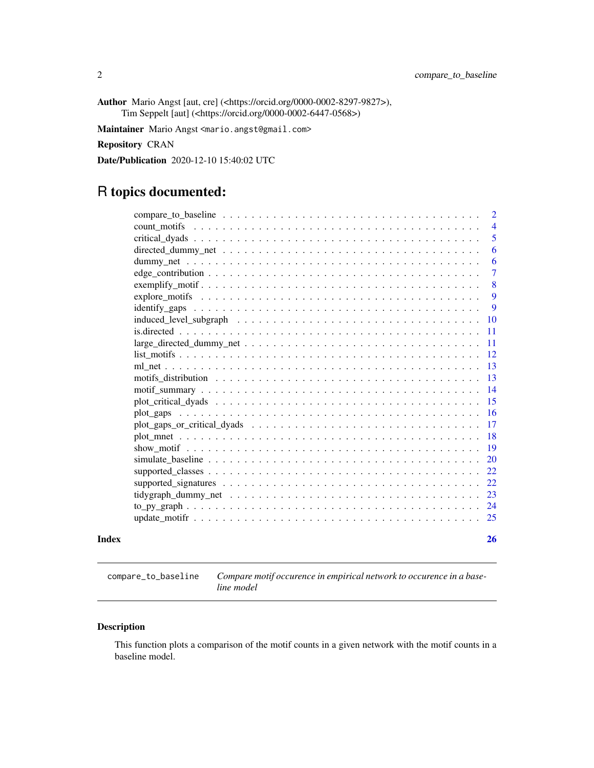<span id="page-1-0"></span>Author Mario Angst [aut, cre] (<https://orcid.org/0000-0002-8297-9827>), Tim Seppelt [aut] (<https://orcid.org/0000-0002-6447-0568>)

Maintainer Mario Angst <mario.angst@gmail.com>

Repository CRAN

Date/Publication 2020-12-10 15:40:02 UTC

## R topics documented:

|       |                                                                                                             | 2              |
|-------|-------------------------------------------------------------------------------------------------------------|----------------|
|       |                                                                                                             | $\overline{4}$ |
|       |                                                                                                             | 5              |
|       |                                                                                                             | 6              |
|       |                                                                                                             | 6              |
|       |                                                                                                             | 7              |
|       |                                                                                                             | 8              |
|       |                                                                                                             | 9              |
|       | $identity_{2}aps \dots \dots \dots \dots \dots \dots \dots \dots \dots \dots \dots \dots \dots \dots \dots$ | 9              |
|       |                                                                                                             | <b>10</b>      |
|       |                                                                                                             | <b>11</b>      |
|       | $large\_directed\_dummy\_net \dots \dots \dots \dots \dots \dots \dots \dots \dots \dots \dots \dots$       | -11            |
|       |                                                                                                             | 12             |
|       |                                                                                                             | -13            |
|       |                                                                                                             | 13             |
|       |                                                                                                             | 14             |
|       |                                                                                                             | <sup>15</sup>  |
|       |                                                                                                             | 16             |
|       |                                                                                                             | <b>17</b>      |
|       |                                                                                                             | 18             |
|       |                                                                                                             | 19             |
|       |                                                                                                             | <b>20</b>      |
|       |                                                                                                             | 22             |
|       |                                                                                                             | 22             |
|       |                                                                                                             | 23             |
|       |                                                                                                             |                |
|       |                                                                                                             | 25             |
|       |                                                                                                             |                |
| Index |                                                                                                             | 26             |

compare\_to\_baseline *Compare motif occurence in empirical network to occurence in a baseline model*

#### Description

This function plots a comparison of the motif counts in a given network with the motif counts in a baseline model.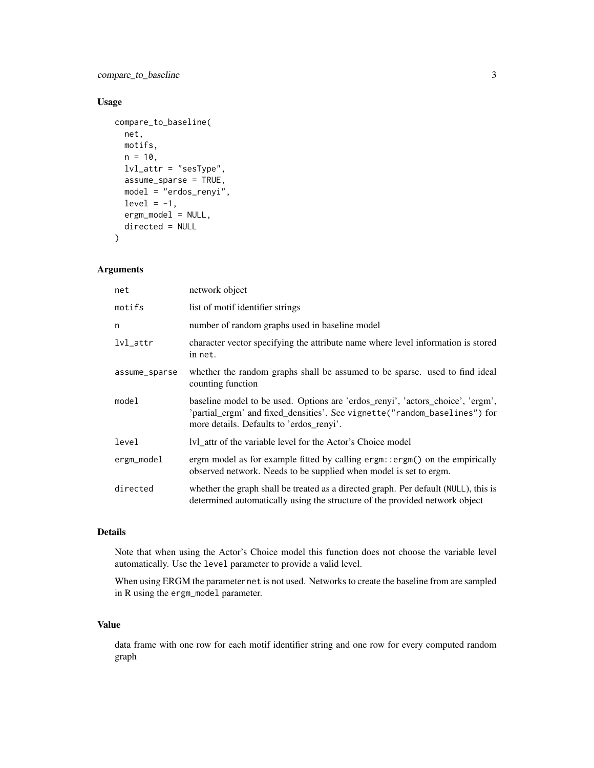compare\_to\_baseline 3

#### Usage

```
compare_to_baseline(
 net,
 motifs,
 n = 10,
 lvl_attr = "sesType",
  assume_sparse = TRUE,
 model = "erdos_renyi",
 level = -1,ergm_model = NULL,directed = NULL
```
 $\mathcal{L}$ 

#### Arguments

| net           | network object                                                                                                                                                                                          |
|---------------|---------------------------------------------------------------------------------------------------------------------------------------------------------------------------------------------------------|
| motifs        | list of motif identifier strings                                                                                                                                                                        |
| n             | number of random graphs used in baseline model                                                                                                                                                          |
| $lvl_{-}attr$ | character vector specifying the attribute name where level information is stored<br>in net.                                                                                                             |
| assume_sparse | whether the random graphs shall be assumed to be sparse, used to find ideal<br>counting function                                                                                                        |
| model         | baseline model to be used. Options are 'erdos_renyi', 'actors_choice', 'ergm',<br>'partial_ergm' and fixed_densities'. See vignette("random_baselines") for<br>more details. Defaults to 'erdos_renyi'. |
| level         | Ivl_attr of the variable level for the Actor's Choice model                                                                                                                                             |
| ergm_model    | ergm model as for example fitted by calling ergm: : ergm() on the empirically<br>observed network. Needs to be supplied when model is set to ergm.                                                      |
| directed      | whether the graph shall be treated as a directed graph. Per default (NULL), this is<br>determined automatically using the structure of the provided network object                                      |

#### Details

Note that when using the Actor's Choice model this function does not choose the variable level automatically. Use the level parameter to provide a valid level.

When using ERGM the parameter net is not used. Networks to create the baseline from are sampled in R using the ergm\_model parameter.

#### Value

data frame with one row for each motif identifier string and one row for every computed random graph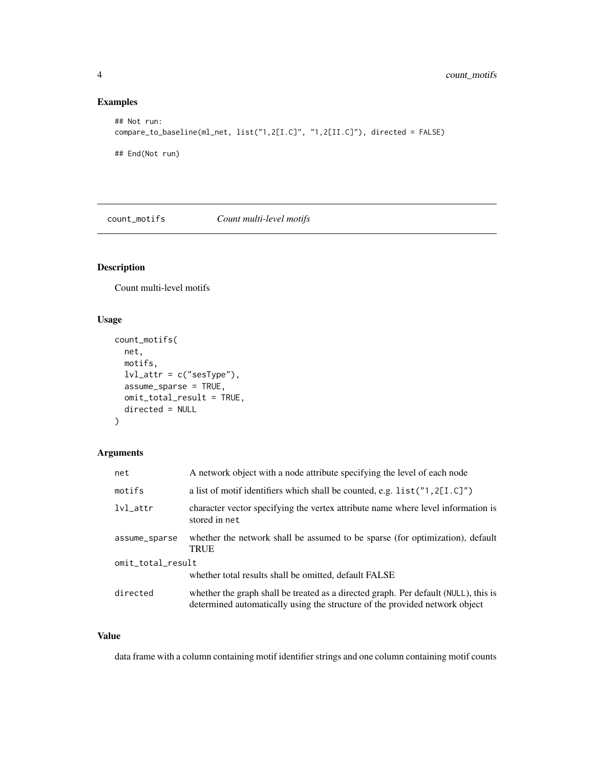#### Examples

```
## Not run:
compare_to_baseline(ml_net, list("1,2[I.C]", "1,2[II.C]"), directed = FALSE)
## End(Not run)
```
count\_motifs *Count multi-level motifs*

#### Description

Count multi-level motifs

#### Usage

```
count_motifs(
 net,
 motifs,
 lvl_attr = c("sesType"),
 assume_sparse = TRUE,
 omit_total_result = TRUE,
  directed = NULL
)
```
#### Arguments

| net               | A network object with a node attribute specifying the level of each node                                                                                           |
|-------------------|--------------------------------------------------------------------------------------------------------------------------------------------------------------------|
| motifs            | a list of motif identifiers which shall be counted, e.g. $list("1, 2[L.C]")$                                                                                       |
| $lvl_{-}attr$     | character vector specifying the vertex attribute name where level information is<br>stored in net                                                                  |
| assume_sparse     | whether the network shall be assumed to be sparse (for optimization), default<br><b>TRUE</b>                                                                       |
| omit_total_result |                                                                                                                                                                    |
|                   | whether total results shall be omitted, default FALSE                                                                                                              |
| directed          | whether the graph shall be treated as a directed graph. Per default (NULL), this is<br>determined automatically using the structure of the provided network object |

#### Value

data frame with a column containing motif identifier strings and one column containing motif counts

<span id="page-3-0"></span>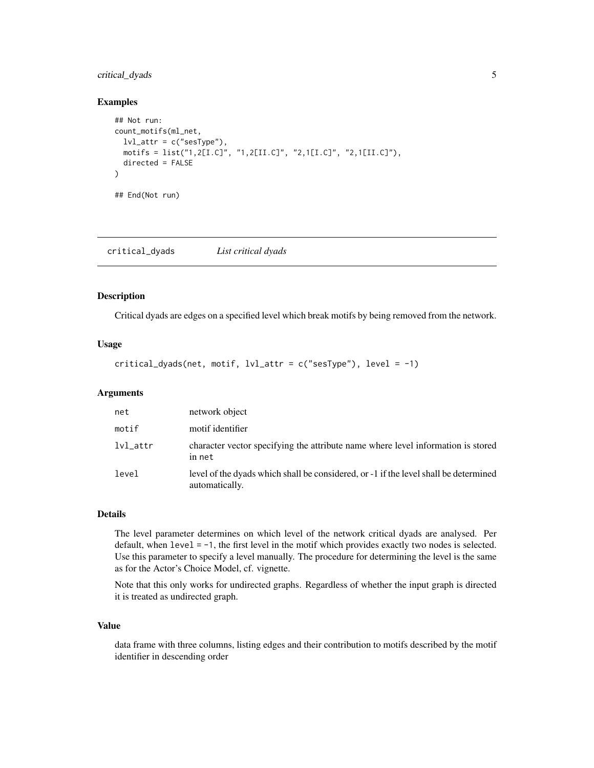#### <span id="page-4-0"></span>critical\_dyads 5

#### Examples

```
## Not run:
count_motifs(ml_net,
  lvl\_attr = c("sesType"),motifs = list("1,2[I.C]", "1,2[II.C]", "2,1[I.C]", "2,1[II.C]"),
  directed = FALSE
)
## End(Not run)
```
critical\_dyads *List critical dyads*

#### Description

Critical dyads are edges on a specified level which break motifs by being removed from the network.

#### Usage

```
critical_dyads(net, motif, lvl_attr = c("sesType"), level = -1)
```
#### **Arguments**

| net           | network object                                                                                         |
|---------------|--------------------------------------------------------------------------------------------------------|
| motif         | motif identifier                                                                                       |
| $lvl_{-}attr$ | character vector specifying the attribute name where level information is stored<br>in net             |
| level         | level of the dyads which shall be considered, or -1 if the level shall be determined<br>automatically. |

#### Details

The level parameter determines on which level of the network critical dyads are analysed. Per default, when level = -1, the first level in the motif which provides exactly two nodes is selected. Use this parameter to specify a level manually. The procedure for determining the level is the same as for the Actor's Choice Model, cf. vignette.

Note that this only works for undirected graphs. Regardless of whether the input graph is directed it is treated as undirected graph.

#### Value

data frame with three columns, listing edges and their contribution to motifs described by the motif identifier in descending order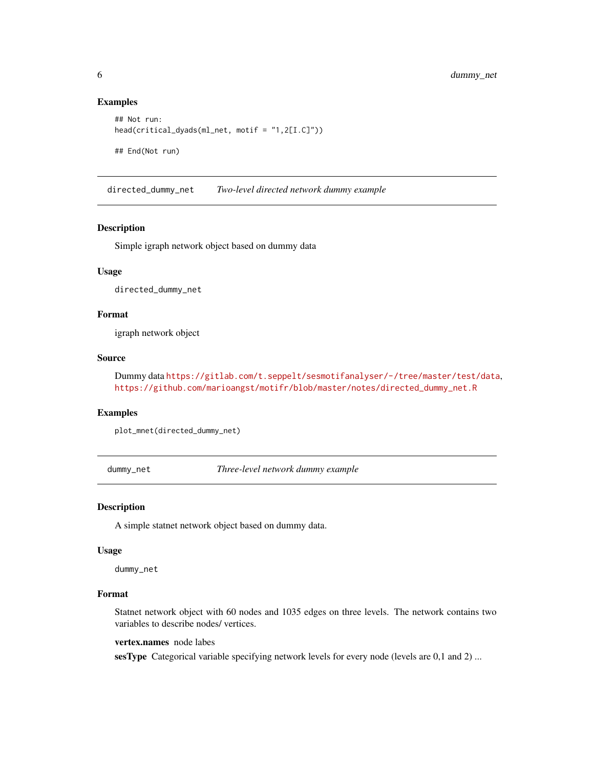#### Examples

```
## Not run:
head(critical_dyads(ml_net, motif = "1,2[I.C]"))
## End(Not run)
```
directed\_dummy\_net *Two-level directed network dummy example*

#### Description

Simple igraph network object based on dummy data

#### Usage

directed\_dummy\_net

#### Format

igraph network object

#### Source

Dummy data <https://gitlab.com/t.seppelt/sesmotifanalyser/-/tree/master/test/data>, [https://github.com/marioangst/motifr/blob/master/notes/directed\\_dummy\\_net.R](https://github.com/marioangst/motifr/blob/master/notes/directed_dummy_net.R)

#### Examples

plot\_mnet(directed\_dummy\_net)

dummy\_net *Three-level network dummy example*

#### Description

A simple statnet network object based on dummy data.

#### Usage

dummy\_net

#### Format

Statnet network object with 60 nodes and 1035 edges on three levels. The network contains two variables to describe nodes/ vertices.

vertex.names node labes

sesType Categorical variable specifying network levels for every node (levels are 0,1 and 2) ...

<span id="page-5-0"></span>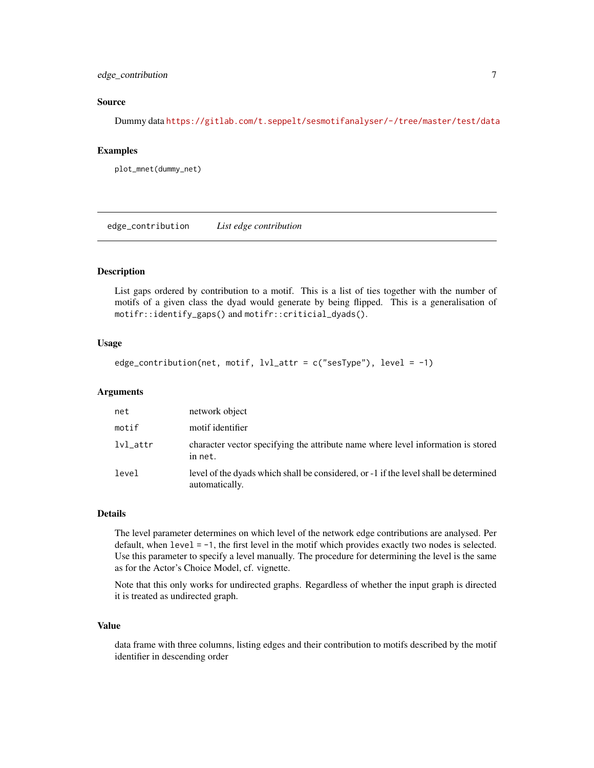#### <span id="page-6-0"></span>edge\_contribution 7

#### Source

Dummy data <https://gitlab.com/t.seppelt/sesmotifanalyser/-/tree/master/test/data>

#### Examples

plot\_mnet(dummy\_net)

edge\_contribution *List edge contribution*

#### Description

List gaps ordered by contribution to a motif. This is a list of ties together with the number of motifs of a given class the dyad would generate by being flipped. This is a generalisation of motifr::identify\_gaps() and motifr::criticial\_dyads().

#### Usage

```
edge_contribution(net, motif, lvl_attr = c("sesType"), level = -1)
```
#### Arguments

| net             | network object                                                                                         |
|-----------------|--------------------------------------------------------------------------------------------------------|
| motif           | motif identifier                                                                                       |
| $1$ v $1$ _attr | character vector specifying the attribute name where level information is stored<br>in net.            |
| level           | level of the dyads which shall be considered, or -1 if the level shall be determined<br>automatically. |

#### Details

The level parameter determines on which level of the network edge contributions are analysed. Per default, when level = -1, the first level in the motif which provides exactly two nodes is selected. Use this parameter to specify a level manually. The procedure for determining the level is the same as for the Actor's Choice Model, cf. vignette.

Note that this only works for undirected graphs. Regardless of whether the input graph is directed it is treated as undirected graph.

#### Value

data frame with three columns, listing edges and their contribution to motifs described by the motif identifier in descending order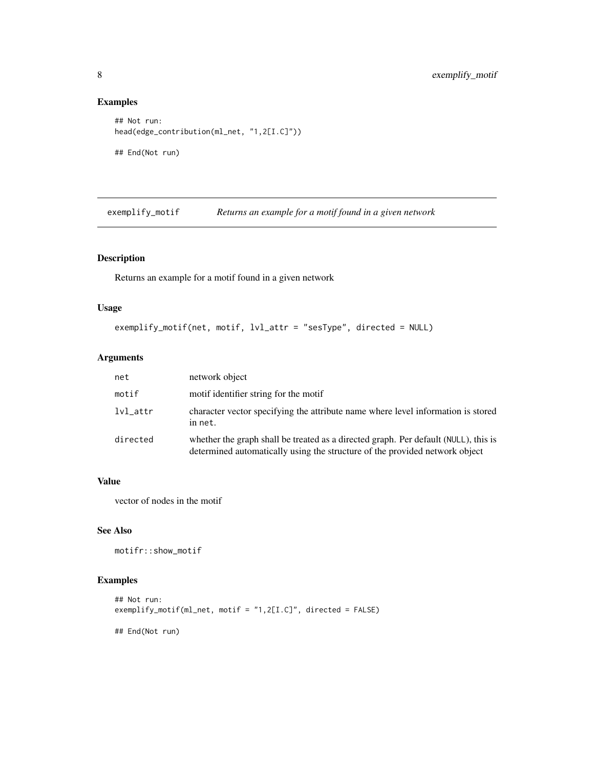#### Examples

```
## Not run:
head(edge_contribution(ml_net, "1,2[I.C]"))
## End(Not run)
```
exemplify\_motif *Returns an example for a motif found in a given network*

#### Description

Returns an example for a motif found in a given network

#### Usage

```
exemplify_motif(net, motif, lvl_attr = "sesType", directed = NULL)
```
#### Arguments

| net      | network object                                                                                                                                                     |
|----------|--------------------------------------------------------------------------------------------------------------------------------------------------------------------|
| motif    | motif identifier string for the motif                                                                                                                              |
| lvl_attr | character vector specifying the attribute name where level information is stored<br>in net.                                                                        |
| directed | whether the graph shall be treated as a directed graph. Per default (NULL), this is<br>determined automatically using the structure of the provided network object |

#### Value

vector of nodes in the motif

#### See Also

```
motifr::show_motif
```
#### Examples

```
## Not run:
exemplify_motif(ml_net, motif = "1,2[I.C]", directed = FALSE)
## End(Not run)
```
<span id="page-7-0"></span>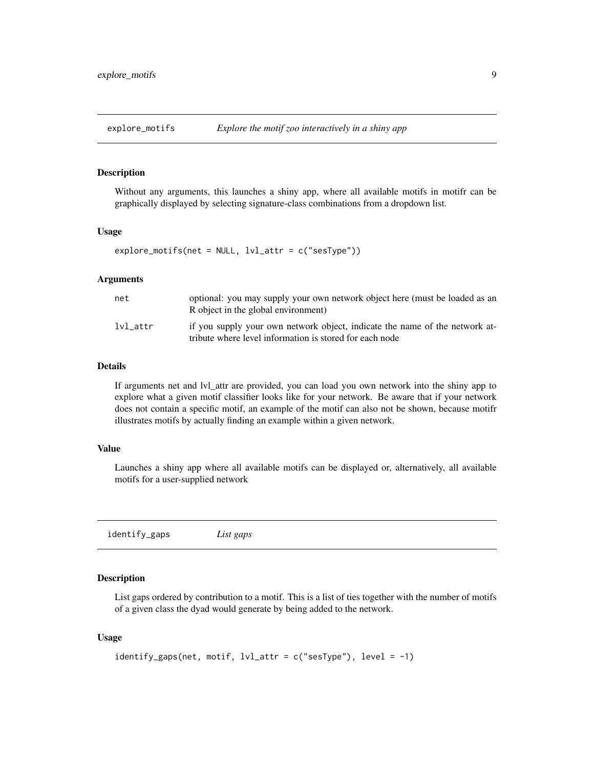<span id="page-8-0"></span>

#### Description

Without any arguments, this launches a shiny app, where all available motifs in motifr can be graphically displayed by selecting signature-class combinations from a dropdown list.

#### Usage

explore\_motifs(net = NULL, lvl\_attr = c("sesType"))

#### Arguments

| net      | optional: you may supply your own network object here (must be loaded as an<br>R object in the global environment)                     |
|----------|----------------------------------------------------------------------------------------------------------------------------------------|
| lvl attr | if you supply your own network object, indicate the name of the network at-<br>tribute where level information is stored for each node |

#### Details

If arguments net and lvl\_attr are provided, you can load you own network into the shiny app to explore what a given motif classifier looks like for your network. Be aware that if your network does not contain a specific motif, an example of the motif can also not be shown, because motifr illustrates motifs by actually finding an example within a given network.

#### Value

Launches a shiny app where all available motifs can be displayed or, alternatively, all available motifs for a user-supplied network

identify\_gaps *List gaps*

#### Description

List gaps ordered by contribution to a motif. This is a list of ties together with the number of motifs of a given class the dyad would generate by being added to the network.

#### Usage

```
identify_gaps(net, motif, lvl_attr = c("sesType"), level = -1)
```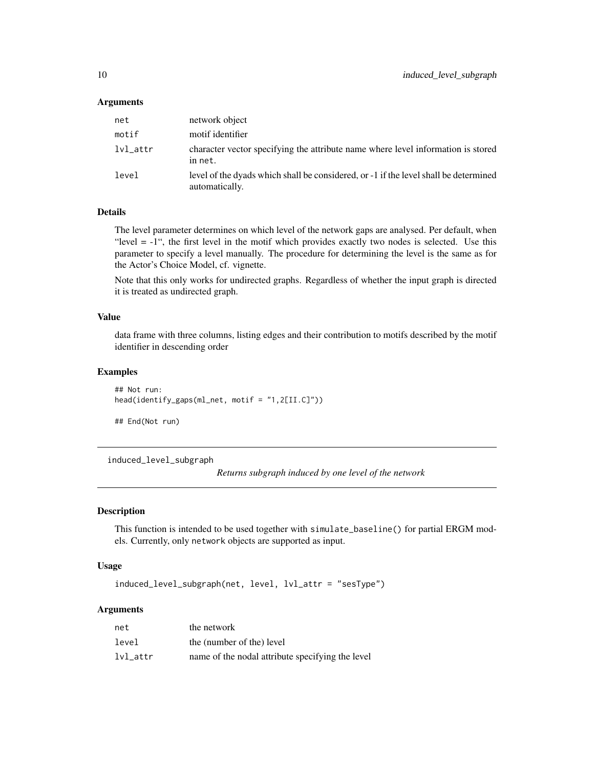#### <span id="page-9-0"></span>**Arguments**

| net      | network object                                                                                         |
|----------|--------------------------------------------------------------------------------------------------------|
| motif    | motif identifier                                                                                       |
| lvl_attr | character vector specifying the attribute name where level information is stored<br>in net.            |
| level    | level of the dyads which shall be considered, or -1 if the level shall be determined<br>automatically. |

#### Details

The level parameter determines on which level of the network gaps are analysed. Per default, when "level = -1", the first level in the motif which provides exactly two nodes is selected. Use this parameter to specify a level manually. The procedure for determining the level is the same as for the Actor's Choice Model, cf. vignette.

Note that this only works for undirected graphs. Regardless of whether the input graph is directed it is treated as undirected graph.

#### Value

data frame with three columns, listing edges and their contribution to motifs described by the motif identifier in descending order

#### Examples

```
## Not run:
head(identify_gaps(ml_net, motif = "1,2[II.C]"))
## End(Not run)
```
induced\_level\_subgraph

*Returns subgraph induced by one level of the network*

#### Description

This function is intended to be used together with simulate\_baseline() for partial ERGM models. Currently, only network objects are supported as input.

#### Usage

induced\_level\_subgraph(net, level, lvl\_attr = "sesType")

#### Arguments

| net      | the network                                      |
|----------|--------------------------------------------------|
| level    | the (number of the) level                        |
| lvl attr | name of the nodal attribute specifying the level |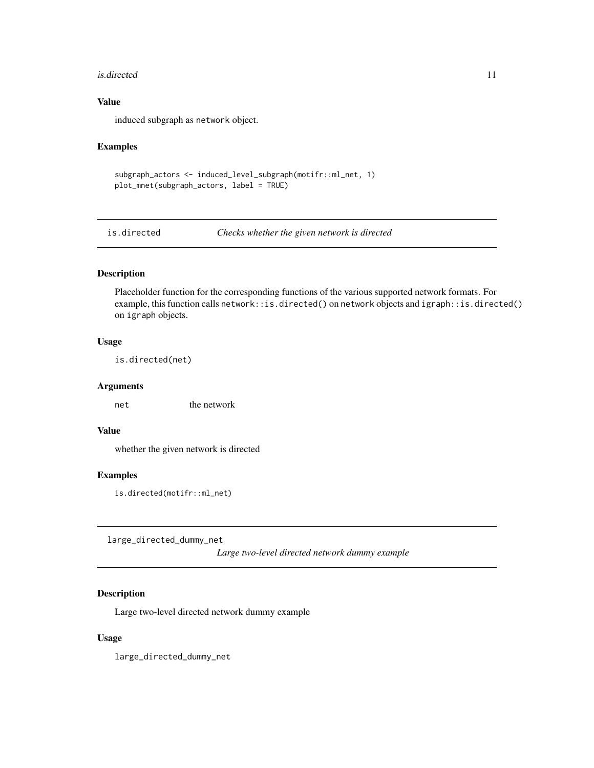#### <span id="page-10-0"></span>is.directed 11

#### Value

induced subgraph as network object.

#### Examples

```
subgraph_actors <- induced_level_subgraph(motifr::ml_net, 1)
plot_mnet(subgraph_actors, label = TRUE)
```
is.directed *Checks whether the given network is directed*

#### Description

Placeholder function for the corresponding functions of the various supported network formats. For example, this function calls network::is.directed() on network objects and igraph::is.directed() on igraph objects.

#### Usage

is.directed(net)

#### Arguments

net the network

#### Value

whether the given network is directed

#### Examples

is.directed(motifr::ml\_net)

large\_directed\_dummy\_net

*Large two-level directed network dummy example*

#### Description

Large two-level directed network dummy example

#### Usage

large\_directed\_dummy\_net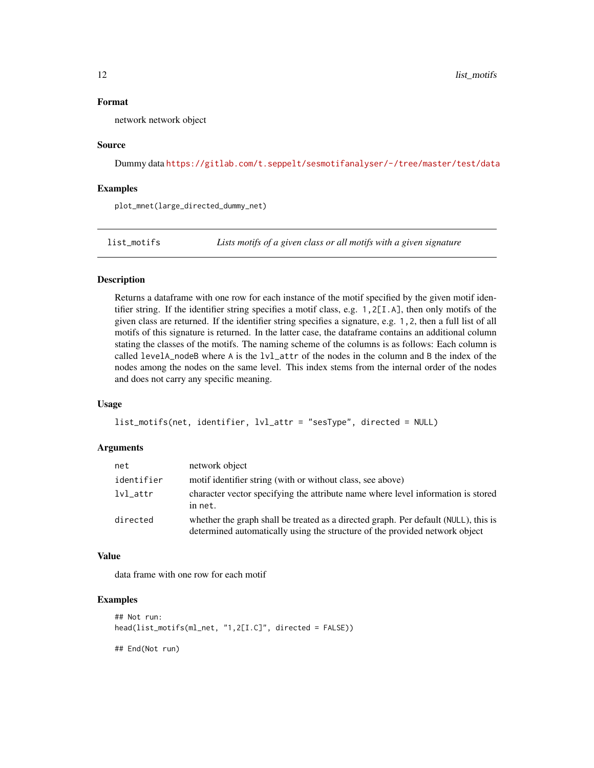#### <span id="page-11-0"></span>Format

network network object

#### Source

Dummy data <https://gitlab.com/t.seppelt/sesmotifanalyser/-/tree/master/test/data>

#### Examples

plot\_mnet(large\_directed\_dummy\_net)

list\_motifs *Lists motifs of a given class or all motifs with a given signature*

#### Description

Returns a dataframe with one row for each instance of the motif specified by the given motif identifier string. If the identifier string specifies a motif class, e.g. 1,2[I.A], then only motifs of the given class are returned. If the identifier string specifies a signature, e.g. 1,2, then a full list of all motifs of this signature is returned. In the latter case, the dataframe contains an additional column stating the classes of the motifs. The naming scheme of the columns is as follows: Each column is called levelA\_nodeB where A is the lvl\_attr of the nodes in the column and B the index of the nodes among the nodes on the same level. This index stems from the internal order of the nodes and does not carry any specific meaning.

#### Usage

```
list_motifs(net, identifier, lvl_attr = "sesType", directed = NULL)
```
#### Arguments

| net         | network object                                                                                                                                                     |
|-------------|--------------------------------------------------------------------------------------------------------------------------------------------------------------------|
| identifier  | motif identifier string (with or without class, see above)                                                                                                         |
| $lvl\_attr$ | character vector specifying the attribute name where level information is stored<br>in net.                                                                        |
| directed    | whether the graph shall be treated as a directed graph. Per default (NULL), this is<br>determined automatically using the structure of the provided network object |

#### Value

data frame with one row for each motif

#### Examples

```
## Not run:
head(list_motifs(ml_net, "1,2[I.C]", directed = FALSE))
## End(Not run)
```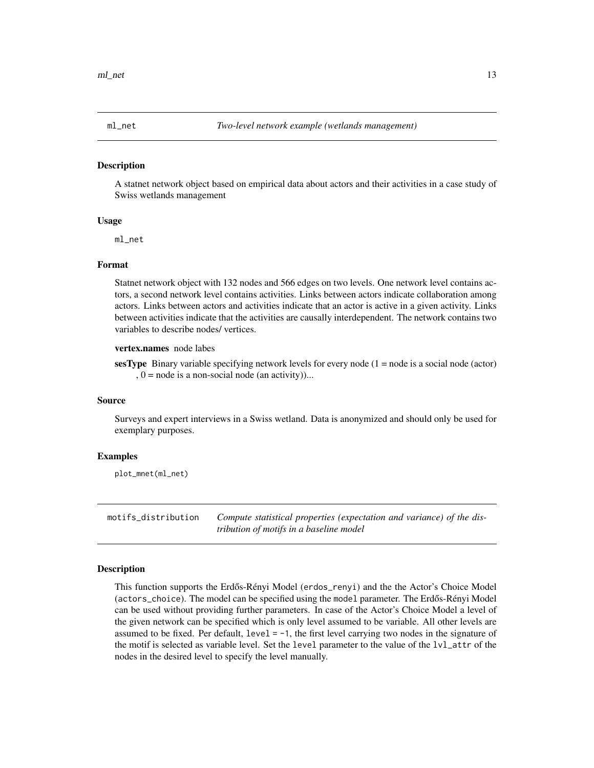<span id="page-12-0"></span>

#### Description

A statnet network object based on empirical data about actors and their activities in a case study of Swiss wetlands management

#### Usage

ml\_net

#### Format

Statnet network object with 132 nodes and 566 edges on two levels. One network level contains actors, a second network level contains activities. Links between actors indicate collaboration among actors. Links between actors and activities indicate that an actor is active in a given activity. Links between activities indicate that the activities are causally interdependent. The network contains two variables to describe nodes/ vertices.

#### vertex.names node labes

sesType Binary variable specifying network levels for every node  $(1 = node is a social node (actor))$  $, 0$  = node is a non-social node (an activity)...

#### Source

Surveys and expert interviews in a Swiss wetland. Data is anonymized and should only be used for exemplary purposes.

#### Examples

plot\_mnet(ml\_net)

motifs\_distribution *Compute statistical properties (expectation and variance) of the distribution of motifs in a baseline model*

#### Description

This function supports the Erdős-Rényi Model (erdos\_renyi) and the the Actor's Choice Model (actors\_choice). The model can be specified using the model parameter. The Erdős-Rényi Model can be used without providing further parameters. In case of the Actor's Choice Model a level of the given network can be specified which is only level assumed to be variable. All other levels are assumed to be fixed. Per default,  $level = -1$ , the first level carrying two nodes in the signature of the motif is selected as variable level. Set the level parameter to the value of the lvl\_attr of the nodes in the desired level to specify the level manually.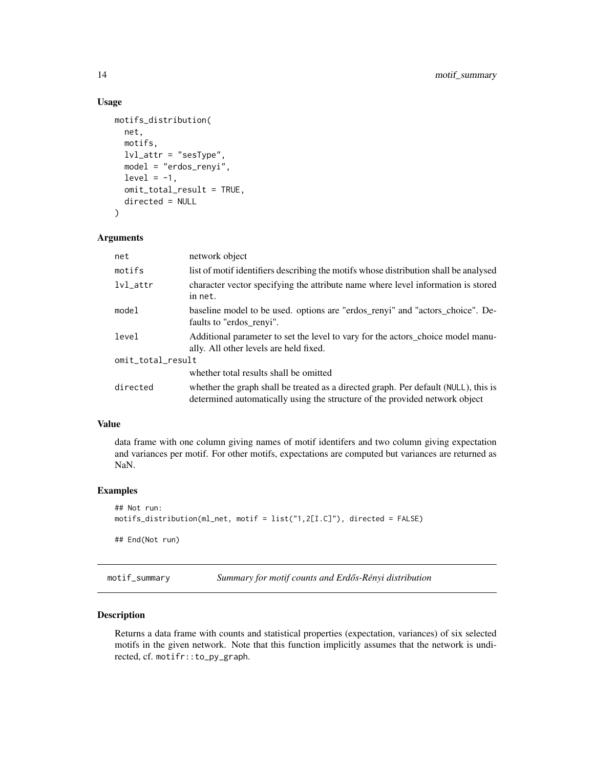#### Usage

```
motifs_distribution(
 net,
  motifs,
  lvl_attr = "sesType",
  model = "erdos_renyi",
  level = -1,
  omit_total_result = TRUE,
  directed = NULL
\mathcal{L}
```
#### Arguments

| net               | network object                                                                                                                                                     |
|-------------------|--------------------------------------------------------------------------------------------------------------------------------------------------------------------|
| motifs            | list of motif identifiers describing the motifs whose distribution shall be analysed                                                                               |
| $1$ v $1$ _attr   | character vector specifying the attribute name where level information is stored<br>in net.                                                                        |
| model             | baseline model to be used. options are "erdos_renyi" and "actors_choice". De-<br>faults to "erdos_renyi".                                                          |
| level             | Additional parameter to set the level to vary for the actors_choice model manu-<br>ally. All other levels are held fixed.                                          |
| omit_total_result |                                                                                                                                                                    |
|                   | whether total results shall be omitted                                                                                                                             |
| directed          | whether the graph shall be treated as a directed graph. Per default (NULL), this is<br>determined automatically using the structure of the provided network object |

#### Value

data frame with one column giving names of motif identifers and two column giving expectation and variances per motif. For other motifs, expectations are computed but variances are returned as NaN.

#### Examples

```
## Not run:
motifs_distribution(ml_net, motif = list("1,2[I.C]"), directed = FALSE)
## End(Not run)
```
motif\_summary *Summary for motif counts and Erdős-Rényi distribution* 

#### Description

Returns a data frame with counts and statistical properties (expectation, variances) of six selected motifs in the given network. Note that this function implicitly assumes that the network is undirected, cf. motifr::to\_py\_graph.

<span id="page-13-0"></span>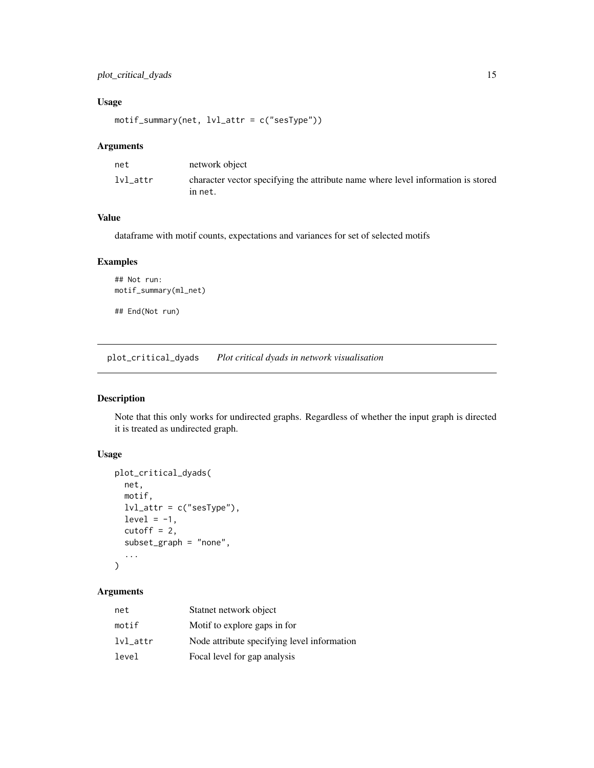#### <span id="page-14-0"></span>Usage

motif\_summary(net, lvl\_attr = c("sesType"))

#### Arguments

| net      | network object                                                                              |
|----------|---------------------------------------------------------------------------------------------|
| lvl attr | character vector specifying the attribute name where level information is stored<br>in net. |

#### Value

dataframe with motif counts, expectations and variances for set of selected motifs

#### Examples

```
## Not run:
motif_summary(ml_net)
```
## End(Not run)

plot\_critical\_dyads *Plot critical dyads in network visualisation*

#### Description

Note that this only works for undirected graphs. Regardless of whether the input graph is directed it is treated as undirected graph.

#### Usage

```
plot_critical_dyads(
  net,
  motif,
  lvl_attr = c("sesType"),
  level = -1,
  cutoff = 2,subset_graph = "none",
  ...
\mathcal{L}
```
#### Arguments

| net      | Statnet network object                      |
|----------|---------------------------------------------|
| motif    | Motif to explore gaps in for                |
| lvl_attr | Node attribute specifying level information |
| level    | Focal level for gap analysis                |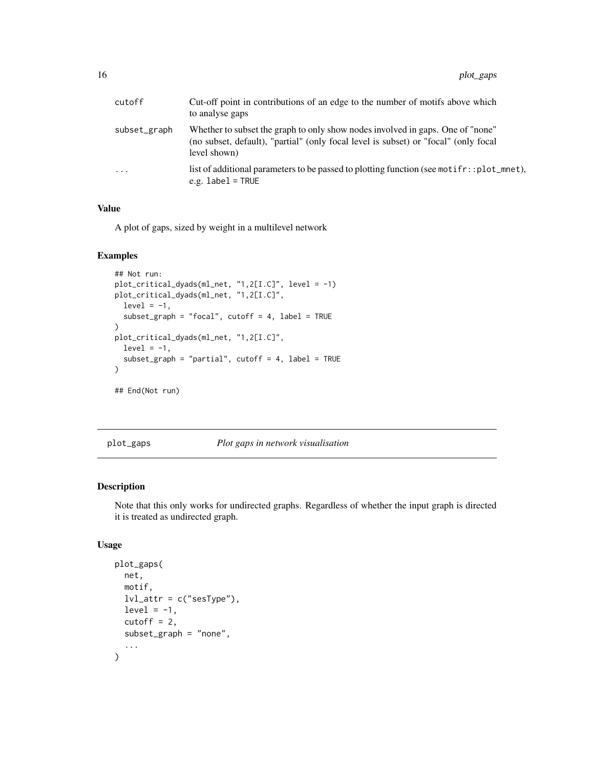<span id="page-15-0"></span>

| cutoff       | Cut-off point in contributions of an edge to the number of motifs above which<br>to analyse gaps                                                                                      |
|--------------|---------------------------------------------------------------------------------------------------------------------------------------------------------------------------------------|
| subset_graph | Whether to subset the graph to only show nodes involved in gaps. One of "none"<br>(no subset, default), "partial" (only focal level is subset) or "focal" (only focal<br>level shown) |
| .            | list of additional parameters to be passed to plotting function (see motifr::plot_mnet),<br>e.g. $label = TRUE$                                                                       |

#### Value

A plot of gaps, sized by weight in a multilevel network

#### Examples

```
## Not run:
plot_critical_dyads(ml_net, "1,2[I.C]", level = -1)
plot_critical_dyads(ml_net, "1,2[I.C]",
  level = -1,subset_graph = "focal", cutoff = 4, label = TRUE
\lambdaplot_critical_dyads(ml_net, "1,2[I.C]",
 level = -1,
  subset_graph = "partial", cutoff = 4, label = TRUE
)
## End(Not run)
```
plot\_gaps *Plot gaps in network visualisation*

#### Description

Note that this only works for undirected graphs. Regardless of whether the input graph is directed it is treated as undirected graph.

#### Usage

```
plot_gaps(
  net,
  motif,
  lvl_attr = c("sesType"),
  level = -1,
  cutoff = 2,subset_graph = "none",
  ...
\mathcal{L}
```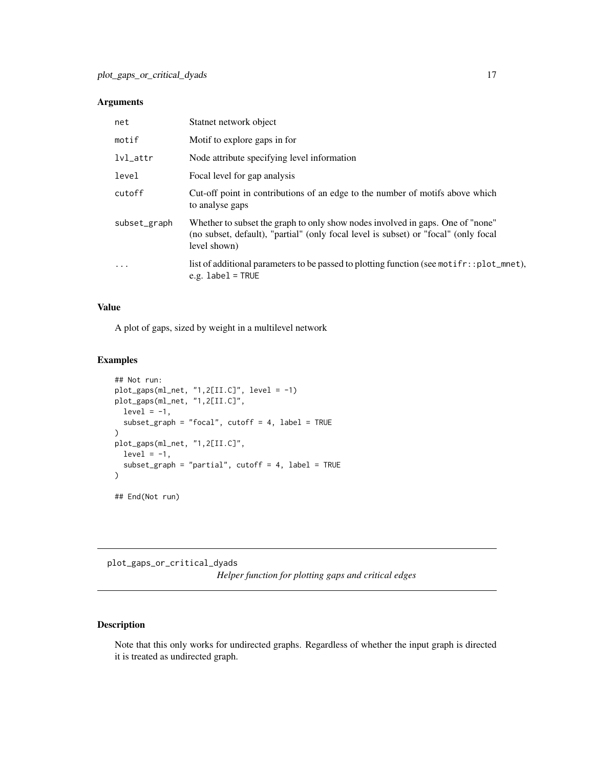#### <span id="page-16-0"></span>Arguments

| net             | Statnet network object                                                                                                                                                                |
|-----------------|---------------------------------------------------------------------------------------------------------------------------------------------------------------------------------------|
| motif           | Motif to explore gaps in for                                                                                                                                                          |
| $1$ v $1$ _attr | Node attribute specifying level information                                                                                                                                           |
| level           | Focal level for gap analysis                                                                                                                                                          |
| cutoff          | Cut-off point in contributions of an edge to the number of motifs above which<br>to analyse gaps                                                                                      |
| subset_graph    | Whether to subset the graph to only show nodes involved in gaps. One of "none"<br>(no subset, default), "partial" (only focal level is subset) or "focal" (only focal<br>level shown) |
| $\ddots$ .      | list of additional parameters to be passed to plotting function (see motifr::plot_mnet),<br>e.g. $label = TRUE$                                                                       |

#### Value

A plot of gaps, sized by weight in a multilevel network

#### Examples

```
## Not run:
plot_gaps(ml_net, "1,2[II.C]", level = -1)
plot_gaps(ml_net, "1,2[II.C]",
 level = -1,
  subset_graph = "focal", cutoff = 4, label = TRUE
\lambdaplot_gaps(ml_net, "1,2[II.C]",
  level = -1,
  subset_graph = "partial", cutoff = 4, label = TRUE
)
## End(Not run)
```
plot\_gaps\_or\_critical\_dyads *Helper function for plotting gaps and critical edges*

#### Description

Note that this only works for undirected graphs. Regardless of whether the input graph is directed it is treated as undirected graph.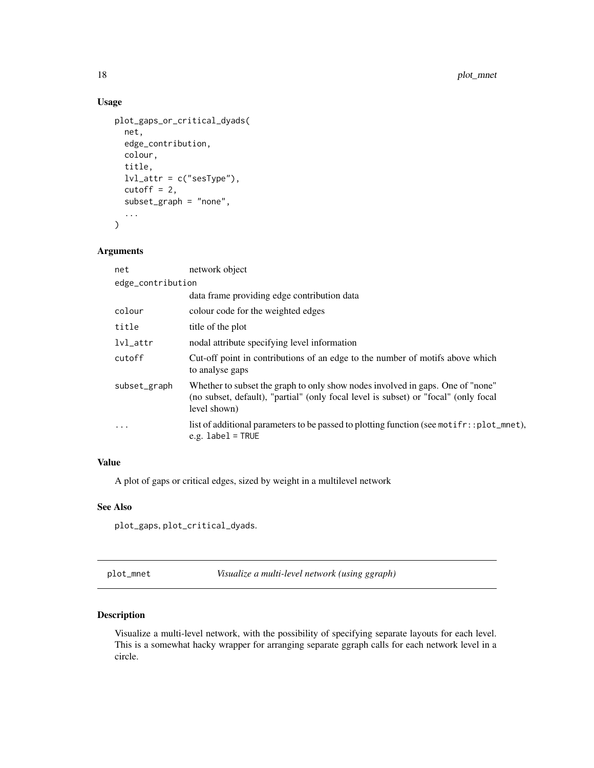#### Usage

```
plot_gaps_or_critical_dyads(
  net,
  edge_contribution,
  colour,
  title,
  lvl_attr = c("sesType"),
  cutoff = 2,
  subset_graph = "none",
  ...
\mathcal{L}
```
#### Arguments

| net               | network object                                                                                                                                                                        |
|-------------------|---------------------------------------------------------------------------------------------------------------------------------------------------------------------------------------|
| edge_contribution |                                                                                                                                                                                       |
|                   | data frame providing edge contribution data                                                                                                                                           |
| colour            | colour code for the weighted edges                                                                                                                                                    |
| title             | title of the plot                                                                                                                                                                     |
| $1$ v $1$ _attr   | nodal attribute specifying level information                                                                                                                                          |
| cutoff            | Cut-off point in contributions of an edge to the number of motifs above which<br>to analyse gaps                                                                                      |
| subset_graph      | Whether to subset the graph to only show nodes involved in gaps. One of "none"<br>(no subset, default), "partial" (only focal level is subset) or "focal" (only focal<br>level shown) |
| $\cdot$           | list of additional parameters to be passed to plotting function (see motifr::plot_mnet),<br>e.g. $label = TRUE$                                                                       |

#### Value

A plot of gaps or critical edges, sized by weight in a multilevel network

#### See Also

plot\_gaps, plot\_critical\_dyads.

plot\_mnet *Visualize a multi-level network (using ggraph)*

#### Description

Visualize a multi-level network, with the possibility of specifying separate layouts for each level. This is a somewhat hacky wrapper for arranging separate ggraph calls for each network level in a circle.

<span id="page-17-0"></span>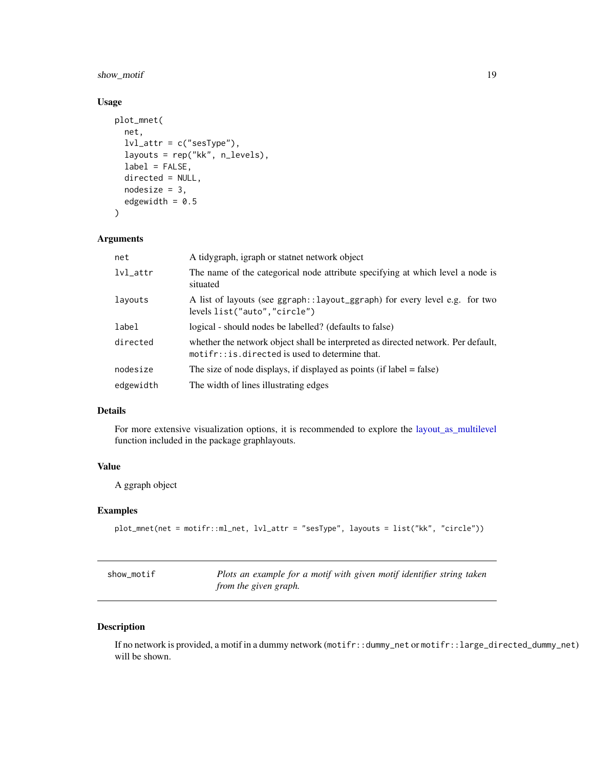#### <span id="page-18-0"></span>show\_motif 19

#### Usage

```
plot_mnet(
  net,
  lvl_attr = c("sesType"),
  layouts = rep("kk", n_levels),
  label = FALSE,directed = NULL,
 nodesize = 3,
  edgewidth = 0.5\mathcal{L}
```
#### Arguments

| net           | A tidygraph, igraph or statnet network object                                                                                         |
|---------------|---------------------------------------------------------------------------------------------------------------------------------------|
| $lvl_{-}attr$ | The name of the categorical node attribute specifying at which level a node is<br>situated                                            |
| layouts       | A list of layouts (see ggraph::layout_ggraph) for every level e.g. for two<br>levels list("auto","circle")                            |
| label         | logical - should nodes be labelled? (defaults to false)                                                                               |
| directed      | whether the network object shall be interpreted as directed network. Per default,<br>$motifr:$ is directed is used to determine that. |
| nodesize      | The size of node displays, if displayed as points (if $label = false$ )                                                               |
| edgewidth     | The width of lines illustrating edges                                                                                                 |

#### Details

For more extensive visualization options, it is recommended to explore the [layout\\_as\\_multilevel](#page-0-0) function included in the package graphlayouts.

#### Value

A ggraph object

#### Examples

```
plot_mnet(net = motifr::ml_net, lvl_attr = "sesType", layouts = list("kk", "circle"))
```

| show motif | Plots an example for a motif with given motif identifier string taken |
|------------|-----------------------------------------------------------------------|
|            | from the given graph.                                                 |

#### Description

If no network is provided, a motif in a dummy network (motifr::dummy\_net or motifr::large\_directed\_dummy\_net) will be shown.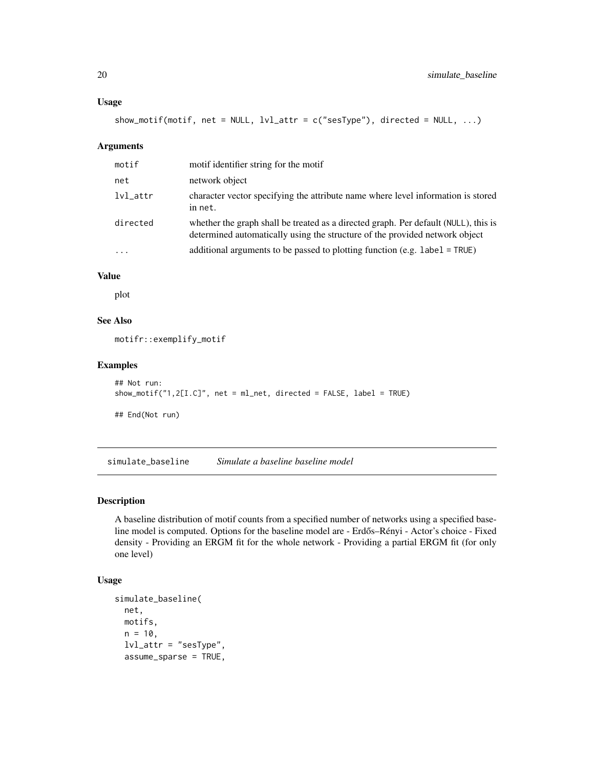#### <span id="page-19-0"></span>Usage

```
show\_motif(motif, net = NULL, lvl\_attr = c("sesType"), directed = NULL, ...)
```
#### Arguments

| motif           | motif identifier string for the motif                                                                                                                              |
|-----------------|--------------------------------------------------------------------------------------------------------------------------------------------------------------------|
| net             | network object                                                                                                                                                     |
| $1$ v $1$ _attr | character vector specifying the attribute name where level information is stored<br>in net.                                                                        |
| directed        | whether the graph shall be treated as a directed graph. Per default (NULL), this is<br>determined automatically using the structure of the provided network object |
| $\ddots$ .      | additional arguments to be passed to plotting function (e.g. label = $TRUE$ )                                                                                      |

#### Value

plot

#### See Also

motifr::exemplify\_motif

#### Examples

```
## Not run:
show_motif("1,2[I.C]", net = ml_net, directed = FALSE, label = TRUE)
## End(Not run)
```
simulate\_baseline *Simulate a baseline baseline model*

#### Description

A baseline distribution of motif counts from a specified number of networks using a specified baseline model is computed. Options for the baseline model are - Erdős–Rényi - Actor's choice - Fixed density - Providing an ERGM fit for the whole network - Providing a partial ERGM fit (for only one level)

#### Usage

```
simulate_baseline(
 net,
 motifs,
 n = 10,
  lvl_attr = "sesType",
  assume_sparse = TRUE,
```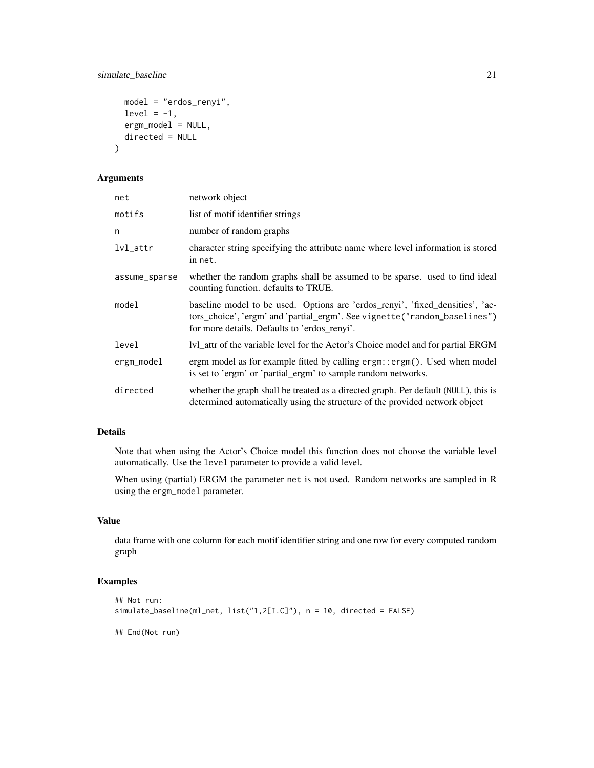simulate\_baseline 21

```
model = "erdos_renyi",
 level = -1,
 ergm_model = NULL,
 directed = NULL
)
```
#### Arguments

| net             | network object                                                                                                                                                                                             |
|-----------------|------------------------------------------------------------------------------------------------------------------------------------------------------------------------------------------------------------|
| motifs          | list of motif identifier strings                                                                                                                                                                           |
| n               | number of random graphs                                                                                                                                                                                    |
| $1$ v $1$ _attr | character string specifying the attribute name where level information is stored<br>in net.                                                                                                                |
| assume_sparse   | whether the random graphs shall be assumed to be sparse. used to find ideal<br>counting function. defaults to TRUE.                                                                                        |
| model           | baseline model to be used. Options are 'erdos_renyi', 'fixed_densities', 'ac-<br>tors_choice', 'ergm' and 'partial_ergm'. See vignette("random_baselines")<br>for more details. Defaults to 'erdos_renyi'. |
| level           | Ivl_attr of the variable level for the Actor's Choice model and for partial ERGM                                                                                                                           |
| ergm_model      | ergm model as for example fitted by calling ergm: : ergm(). Used when model<br>is set to 'ergm' or 'partial_ergm' to sample random networks.                                                               |
| directed        | whether the graph shall be treated as a directed graph. Per default (NULL), this is<br>determined automatically using the structure of the provided network object                                         |

#### Details

Note that when using the Actor's Choice model this function does not choose the variable level automatically. Use the level parameter to provide a valid level.

When using (partial) ERGM the parameter net is not used. Random networks are sampled in R using the ergm\_model parameter.

#### Value

data frame with one column for each motif identifier string and one row for every computed random graph

#### Examples

```
## Not run:
simulate_baseline(ml_net, list("1,2[I.C]"), n = 10, directed = FALSE)
## End(Not run)
```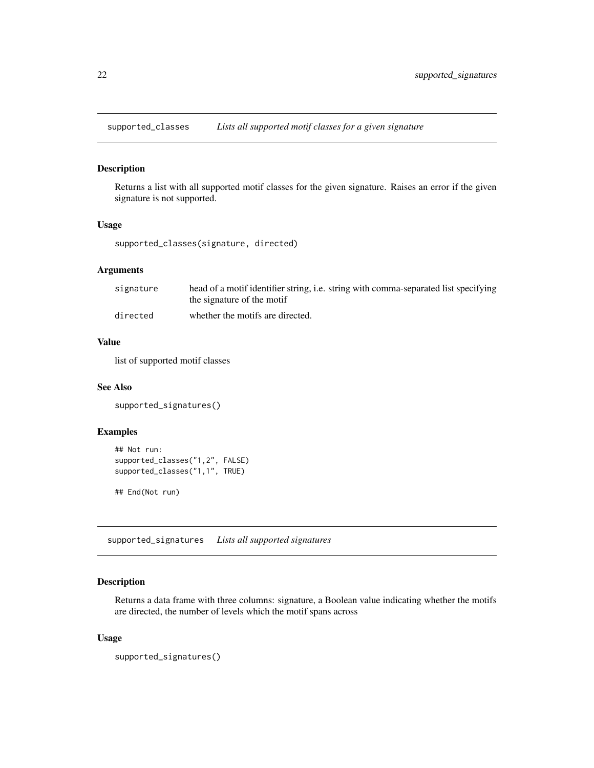<span id="page-21-0"></span>supported\_classes *Lists all supported motif classes for a given signature*

#### Description

Returns a list with all supported motif classes for the given signature. Raises an error if the given signature is not supported.

#### Usage

supported\_classes(signature, directed)

#### Arguments

| signature | head of a motif identifier string, i.e. string with comma-separated list specifying<br>the signature of the motif |
|-----------|-------------------------------------------------------------------------------------------------------------------|
| directed  | whether the motifs are directed.                                                                                  |

#### Value

list of supported motif classes

#### See Also

supported\_signatures()

#### Examples

```
## Not run:
supported_classes("1,2", FALSE)
supported_classes("1,1", TRUE)
```
## End(Not run)

supported\_signatures *Lists all supported signatures*

#### Description

Returns a data frame with three columns: signature, a Boolean value indicating whether the motifs are directed, the number of levels which the motif spans across

#### Usage

supported\_signatures()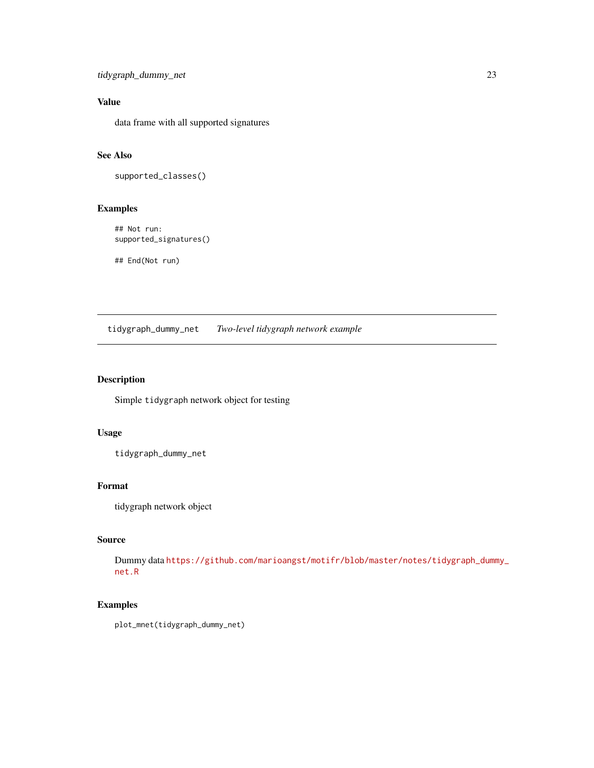<span id="page-22-0"></span>tidygraph\_dummy\_net 23

#### Value

data frame with all supported signatures

### See Also

supported\_classes()

#### Examples

## Not run: supported\_signatures()

## End(Not run)

tidygraph\_dummy\_net *Two-level tidygraph network example*

#### Description

Simple tidygraph network object for testing

#### Usage

tidygraph\_dummy\_net

#### Format

tidygraph network object

#### Source

Dummy data [https://github.com/marioangst/motifr/blob/master/notes/tidygraph\\_dumm](https://github.com/marioangst/motifr/blob/master/notes/tidygraph_dummy_net.R)y\_ [net.R](https://github.com/marioangst/motifr/blob/master/notes/tidygraph_dummy_net.R)

#### Examples

plot\_mnet(tidygraph\_dummy\_net)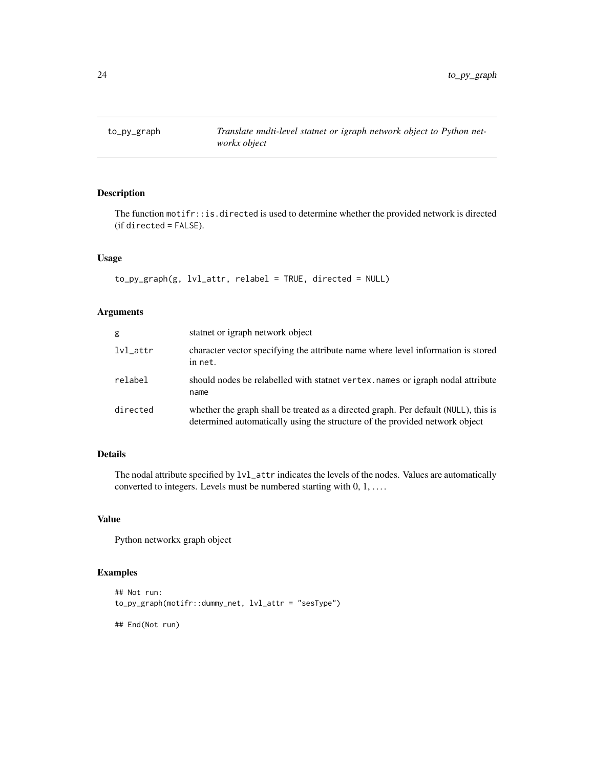<span id="page-23-0"></span>

#### Description

The function motifr::is.directed is used to determine whether the provided network is directed (if directed = FALSE).

#### Usage

```
to_py_graph(g, lvl_attr, relabel = TRUE, directed = NULL)
```
#### Arguments

| g             | state or igraph network object                                                                                                                                     |
|---------------|--------------------------------------------------------------------------------------------------------------------------------------------------------------------|
| $lvl_{-}attr$ | character vector specifying the attribute name where level information is stored<br>in net.                                                                        |
| relabel       | should nodes be relabelled with stating vertex, names or igraph nodal attribute<br>name                                                                            |
| directed      | whether the graph shall be treated as a directed graph. Per default (NULL), this is<br>determined automatically using the structure of the provided network object |

#### Details

The nodal attribute specified by lvl\_attr indicates the levels of the nodes. Values are automatically converted to integers. Levels must be numbered starting with  $0, 1, \ldots$ .

#### Value

Python networkx graph object

#### Examples

```
## Not run:
to_py_graph(motifr::dummy_net, lvl_attr = "sesType")
```
## End(Not run)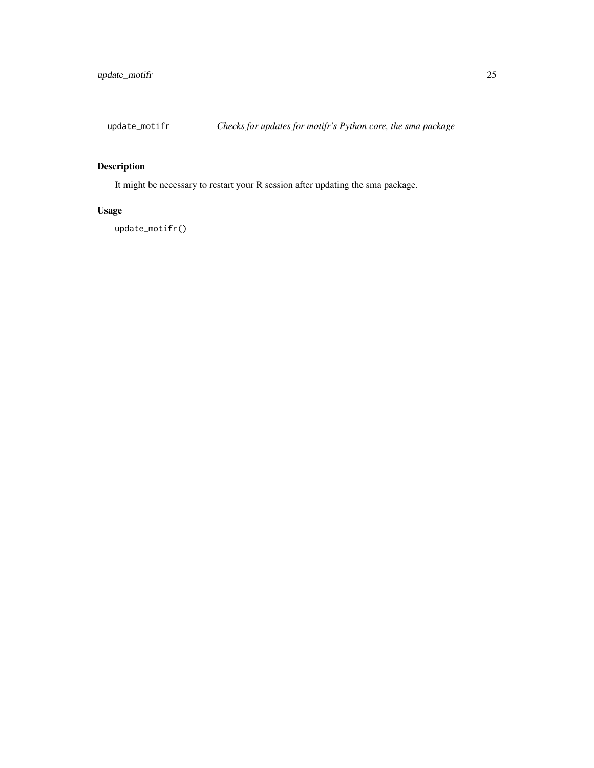<span id="page-24-0"></span>

#### Description

It might be necessary to restart your R session after updating the sma package.

#### Usage

update\_motifr()